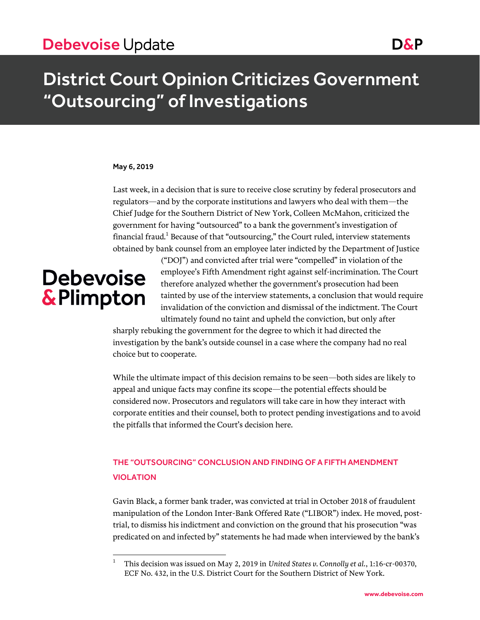#### May 6, 2019

Last week, in a decision that is sure to receive close scrutiny by federal prosecutors and regulators—and by the corporate institutions and lawyers who deal with them—the Chief Judge for the Southern District of New York, Colleen McMahon, criticized the government for having "outsourced" to a bank the government's investigation of financial fraud.<sup>1</sup> Because of that "outsourcing," the Court ruled, interview statements obtained by bank counsel from an employee later indicted by the Department of Justice

# **Debevoise** & Plimpton

 $\overline{a}$ 

("DOJ") and convicted after trial were "compelled" in violation of the employee's Fifth Amendment right against self-incrimination. The Court therefore analyzed whether the government's prosecution had been tainted by use of the interview statements, a conclusion that would require invalidation of the conviction and dismissal of the indictment. The Court ultimately found no taint and upheld the conviction, but only after

sharply rebuking the government for the degree to which it had directed the investigation by the bank's outside counsel in a case where the company had no real choice but to cooperate.

While the ultimate impact of this decision remains to be seen—both sides are likely to appeal and unique facts may confine its scope—the potential effects should be considered now. Prosecutors and regulators will take care in how they interact with corporate entities and their counsel, both to protect pending investigations and to avoid the pitfalls that informed the Court's decision here.

### THE "OUTSOURCING" CONCLUSION AND FINDING OF A FIFTH AMENDMENT VIOLATION

Gavin Black, a former bank trader, was convicted at trial in October 2018 of fraudulent manipulation of the London Inter-Bank Offered Rate ("LIBOR") index. He moved, posttrial, to dismiss his indictment and conviction on the ground that his prosecution "was predicated on and infected by" statements he had made when interviewed by the bank's

<sup>1</sup> This decision was issued on May 2, 2019 in *United States v. Connolly et al.*, 1:16-cr-00370, ECF No. 432, in the U.S. District Court for the Southern District of New York.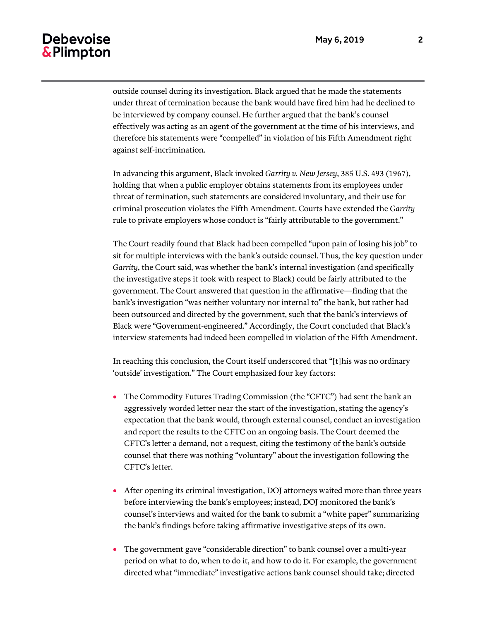# **Debevoise** & Plimpton

outside counsel during its investigation. Black argued that he made the statements under threat of termination because the bank would have fired him had he declined to be interviewed by company counsel. He further argued that the bank's counsel effectively was acting as an agent of the government at the time of his interviews, and therefore his statements were "compelled" in violation of his Fifth Amendment right against self-incrimination.

In advancing this argument, Black invoked *Garrity v. New Jersey*, 385 U.S. 493 (1967), holding that when a public employer obtains statements from its employees under threat of termination, such statements are considered involuntary, and their use for criminal prosecution violates the Fifth Amendment. Courts have extended the *Garrity* rule to private employers whose conduct is "fairly attributable to the government."

The Court readily found that Black had been compelled "upon pain of losing his job" to sit for multiple interviews with the bank's outside counsel. Thus, the key question under *Garrity*, the Court said, was whether the bank's internal investigation (and specifically the investigative steps it took with respect to Black) could be fairly attributed to the government. The Court answered that question in the affirmative—finding that the bank's investigation "was neither voluntary nor internal to" the bank, but rather had been outsourced and directed by the government, such that the bank's interviews of Black were "Government-engineered." Accordingly, the Court concluded that Black's interview statements had indeed been compelled in violation of the Fifth Amendment.

In reaching this conclusion, the Court itself underscored that "[t]his was no ordinary 'outside' investigation." The Court emphasized four key factors:

- The Commodity Futures Trading Commission (the "CFTC") had sent the bank an aggressively worded letter near the start of the investigation, stating the agency's expectation that the bank would, through external counsel, conduct an investigation and report the results to the CFTC on an ongoing basis. The Court deemed the CFTC's letter a demand, not a request, citing the testimony of the bank's outside counsel that there was nothing "voluntary" about the investigation following the CFTC's letter.
- After opening its criminal investigation, DOJ attorneys waited more than three years before interviewing the bank's employees; instead, DOJ monitored the bank's counsel's interviews and waited for the bank to submit a "white paper" summarizing the bank's findings before taking affirmative investigative steps of its own.
- The government gave "considerable direction" to bank counsel over a multi-year period on what to do, when to do it, and how to do it. For example, the government directed what "immediate" investigative actions bank counsel should take; directed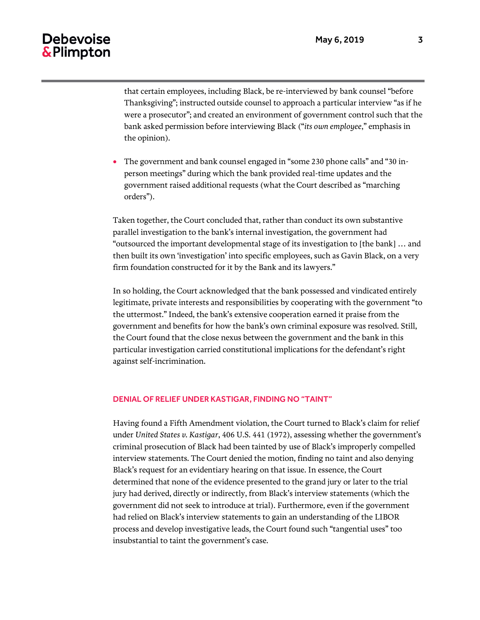## Debevoise & Plimpton

that certain employees, including Black, be re-interviewed by bank counsel "before Thanksgiving"; instructed outside counsel to approach a particular interview "as if he were a prosecutor"; and created an environment of government control such that the bank asked permission before interviewing Black ("*its own employee*," emphasis in the opinion).

 The government and bank counsel engaged in "some 230 phone calls" and "30 inperson meetings" during which the bank provided real-time updates and the government raised additional requests (what the Court described as "marching orders").

Taken together, the Court concluded that, rather than conduct its own substantive parallel investigation to the bank's internal investigation, the government had "outsourced the important developmental stage of its investigation to [the bank] … and then built its own 'investigation' into specific employees, such as Gavin Black, on a very firm foundation constructed for it by the Bank and its lawyers."

In so holding, the Court acknowledged that the bank possessed and vindicated entirely legitimate, private interests and responsibilities by cooperating with the government "to the uttermost." Indeed, the bank's extensive cooperation earned it praise from the government and benefits for how the bank's own criminal exposure was resolved. Still, the Court found that the close nexus between the government and the bank in this particular investigation carried constitutional implications for the defendant's right against self-incrimination.

#### DENIAL OF RELIEF UNDER KASTIGAR, FINDING NO "TAINT"

Having found a Fifth Amendment violation, the Court turned to Black's claim for relief under *United States v. Kastigar*, 406 U.S. 441 (1972), assessing whether the government's criminal prosecution of Black had been tainted by use of Black's improperly compelled interview statements. The Court denied the motion, finding no taint and also denying Black's request for an evidentiary hearing on that issue. In essence, the Court determined that none of the evidence presented to the grand jury or later to the trial jury had derived, directly or indirectly, from Black's interview statements (which the government did not seek to introduce at trial). Furthermore, even if the government had relied on Black's interview statements to gain an understanding of the LIBOR process and develop investigative leads, the Court found such "tangential uses" too insubstantial to taint the government's case.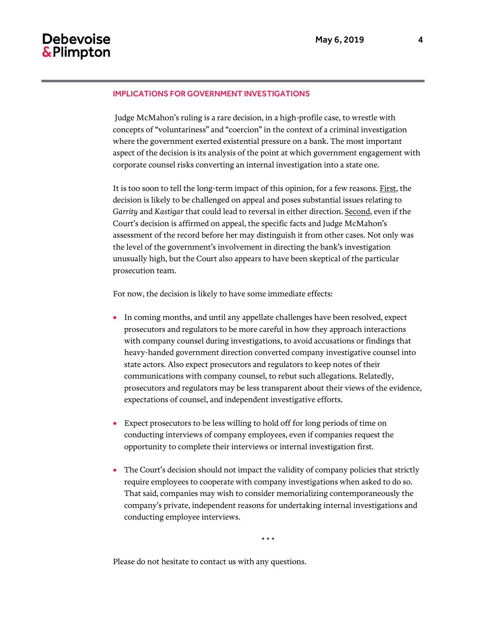#### IMPLICATIONS FOR GOVERNMENT INVESTIGATIONS

Judge McMahon's ruling is a rare decision, in a high-profile case, to wrestle with concepts of "voluntariness" and "coercion" in the context of a criminal investigation where the government exerted existential pressure on a bank. The most important aspect of the decision is its analysis of the point at which government engagement with corporate counsel risks converting an internal investigation into a state one.

It is too soon to tell the long-term impact of this opinion, for a few reasons. First, the decision is likely to be challenged on appeal and poses substantial issues relating to *Garrity* and *Kastigar* that could lead to reversal in either direction. Second, even if the Court's decision is affirmed on appeal, the specific facts and Judge McMahon's assessment of the record before her may distinguish it from other cases. Not only was the level of the government's involvement in directing the bank's investigation unusually high, but the Court also appears to have been skeptical of the particular prosecution team.

For now, the decision is likely to have some immediate effects:

- In coming months, and until any appellate challenges have been resolved, expect prosecutors and regulators to be more careful in how they approach interactions with company counsel during investigations, to avoid accusations or findings that heavy-handed government direction converted company investigative counsel into state actors. Also expect prosecutors and regulators to keep notes of their communications with company counsel, to rebut such allegations. Relatedly, prosecutors and regulators may be less transparent about their views of the evidence, expectations of counsel, and independent investigative efforts.
- Expect prosecutors to be less willing to hold off for long periods of time on conducting interviews of company employees, even if companies request the opportunity to complete their interviews or internal investigation first.
- The Court's decision should not impact the validity of company policies that strictly require employees to cooperate with company investigations when asked to do so. That said, companies may wish to consider memorializing contemporaneously the company's private, independent reasons for undertaking internal investigations and conducting employee interviews.

\* \* \*

Please do not hesitate to contact us with any questions.